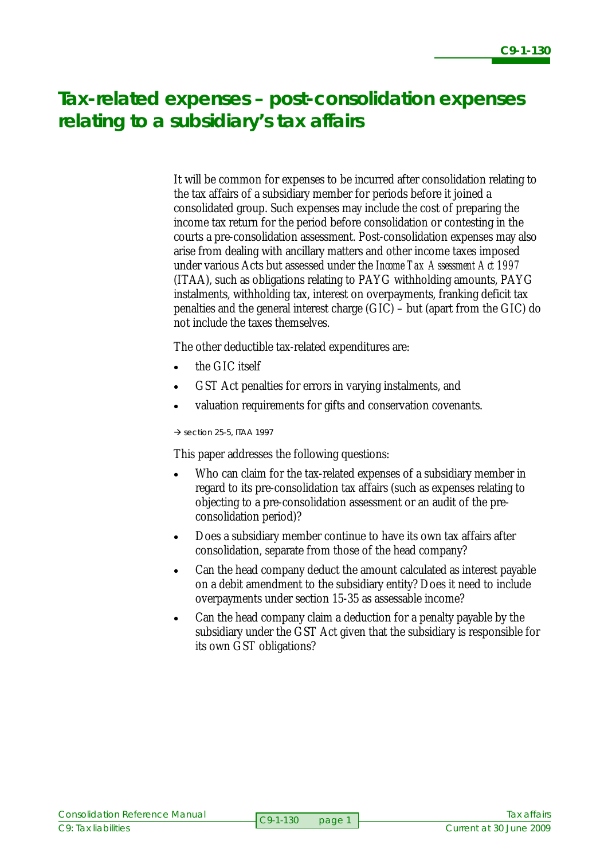# **Tax-related expenses – post-consolidation expenses relating to a subsidiary's tax affairs**

It will be common for expenses to be incurred after consolidation relating to the tax affairs of a subsidiary member for periods before it joined a consolidated group. Such expenses may include the cost of preparing the income tax return for the period before consolidation or contesting in the courts a pre-consolidation assessment. Post-consolidation expenses may also arise from dealing with ancillary matters and other income taxes imposed under various Acts but assessed under the *Income Tax Assessment Act 1997* (ITAA), such as obligations relating to PAYG withholding amounts, PAYG instalments, withholding tax, interest on overpayments, franking deficit tax penalties and the general interest charge (GIC) – but (apart from the GIC) do not include the taxes themselves.

The other deductible tax-related expenditures are:

- the GIC itself
- GST Act penalties for errors in varying instalments, and
- valuation requirements for gifts and conservation covenants.

 $\rightarrow$  section 25-5, ITAA 1997

This paper addresses the following questions:

- Who can claim for the tax-related expenses of a subsidiary member in regard to its pre-consolidation tax affairs (such as expenses relating to objecting to a pre-consolidation assessment or an audit of the preconsolidation period)?
- Does a subsidiary member continue to have its own tax affairs after consolidation, separate from those of the head company?
- Can the head company deduct the amount calculated as interest payable on a debit amendment to the subsidiary entity? Does it need to include overpayments under section 15-35 as assessable income?
- Can the head company claim a deduction for a penalty payable by the subsidiary under the GST Act given that the subsidiary is responsible for its own GST obligations?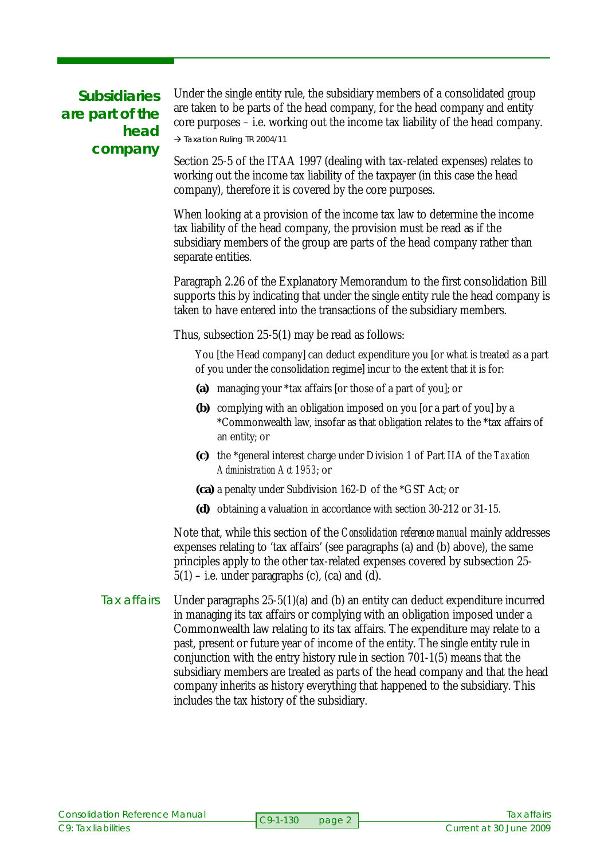# **Subsidiaries are part of the head company**

Under the single entity rule, the subsidiary members of a consolidated group are taken to be parts of the head company, for the head company and entity core purposes – i.e. working out the income tax liability of the head company.

→ Taxation Ruling TR 2004/11

Section 25-5 of the ITAA 1997 (dealing with tax-related expenses) relates to working out the income tax liability of the taxpayer (in this case the head company), therefore it is covered by the core purposes.

When looking at a provision of the income tax law to determine the income tax liability of the head company, the provision must be read as if the subsidiary members of the group are parts of the head company rather than separate entities.

Paragraph 2.26 of the Explanatory Memorandum to the first consolidation Bill supports this by indicating that under the single entity rule the head company is taken to have entered into the transactions of the subsidiary members.

Thus, subsection 25-5(1) may be read as follows:

You [the Head company] can deduct expenditure you [or what is treated as a part of you under the consolidation regime] incur to the extent that it is for:

- **(a)** managing your \*tax affairs [or those of a part of you]; or
- **(b)** complying with an obligation imposed on you [or a part of you] by a \*Commonwealth law, insofar as that obligation relates to the \*tax affairs of an entity; or
- **(c)** the \*general interest charge under Division 1 of Part IIA of the *Taxation Administration Act 1953*; or
- **(ca)** a penalty under Subdivision 162-D of the \*GST Act; or
- **(d)** obtaining a valuation in accordance with section 30-212 or 31-15.

Note that, while this section of the *Consolidation reference manual* mainly addresses expenses relating to 'tax affairs' (see paragraphs (a) and (b) above), the same principles apply to the other tax-related expenses covered by subsection 25-  $5(1)$  – i.e. under paragraphs (c), (ca) and (d).

Under paragraphs 25-5(1)(a) and (b) an entity can deduct expenditure incurred in managing its tax affairs or complying with an obligation imposed under a Commonwealth law relating to its tax affairs. The expenditure may relate to a past, present or future year of income of the entity. The single entity rule in conjunction with the entry history rule in section 701-1(5) means that the subsidiary members are treated as parts of the head company and that the head company inherits as history everything that happened to the subsidiary. This includes the tax history of the subsidiary. Tax affairs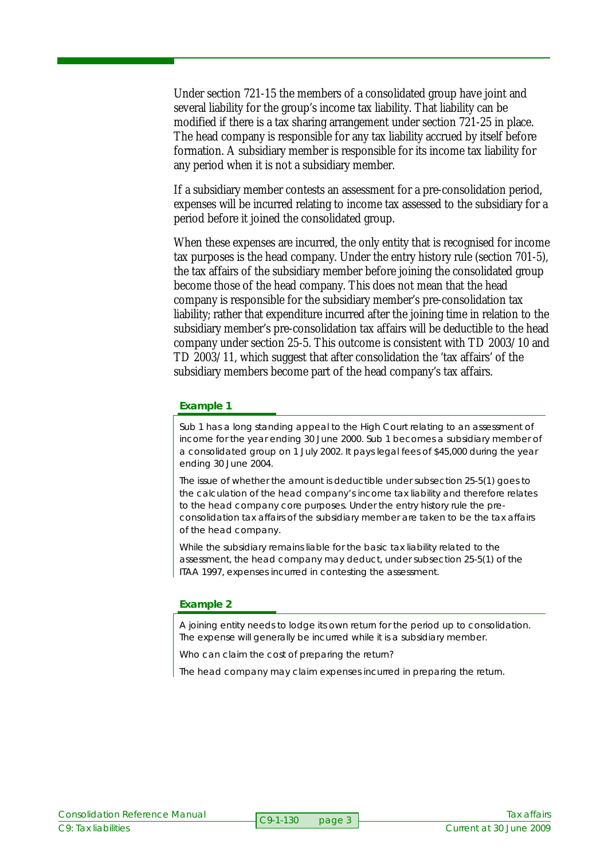Under section 721-15 the members of a consolidated group have joint and several liability for the group's income tax liability. That liability can be modified if there is a tax sharing arrangement under section 721-25 in place. The head company is responsible for any tax liability accrued by itself before formation. A subsidiary member is responsible for its income tax liability for any period when it is not a subsidiary member.

If a subsidiary member contests an assessment for a pre-consolidation period, expenses will be incurred relating to income tax assessed to the subsidiary for a period before it joined the consolidated group.

When these expenses are incurred, the only entity that is recognised for income tax purposes is the head company. Under the entry history rule (section 701-5), the tax affairs of the subsidiary member before joining the consolidated group become those of the head company. This does not mean that the head company is responsible for the subsidiary member's pre-consolidation tax liability; rather that expenditure incurred after the joining time in relation to the subsidiary member's pre-consolidation tax affairs will be deductible to the head company under section 25-5. This outcome is consistent with TD 2003/10 and TD 2003/11, which suggest that after consolidation the 'tax affairs' of the subsidiary members become part of the head company's tax affairs.

# **Example 1**

Sub 1 has a long standing appeal to the High Court relating to an assessment of income for the year ending 30 June 2000. Sub 1 becomes a subsidiary member of a consolidated group on 1 July 2002. It pays legal fees of \$45,000 during the year ending 30 June 2004.

The issue of whether the amount is deductible under subsection 25-5(1) goes to the calculation of the head company's income tax liability and therefore relates to the head company core purposes. Under the entry history rule the preconsolidation tax affairs of the subsidiary member are taken to be the tax affairs of the head company.

While the subsidiary remains liable for the basic tax liability related to the assessment, the head company may deduct, under subsection 25-5(1) of the ITAA 1997, expenses incurred in contesting the assessment.

## **Example 2**

A joining entity needs to lodge its own return for the period up to consolidation. The expense will generally be incurred while it is a subsidiary member.

Who can claim the cost of preparing the return?

The head company may claim expenses incurred in preparing the return.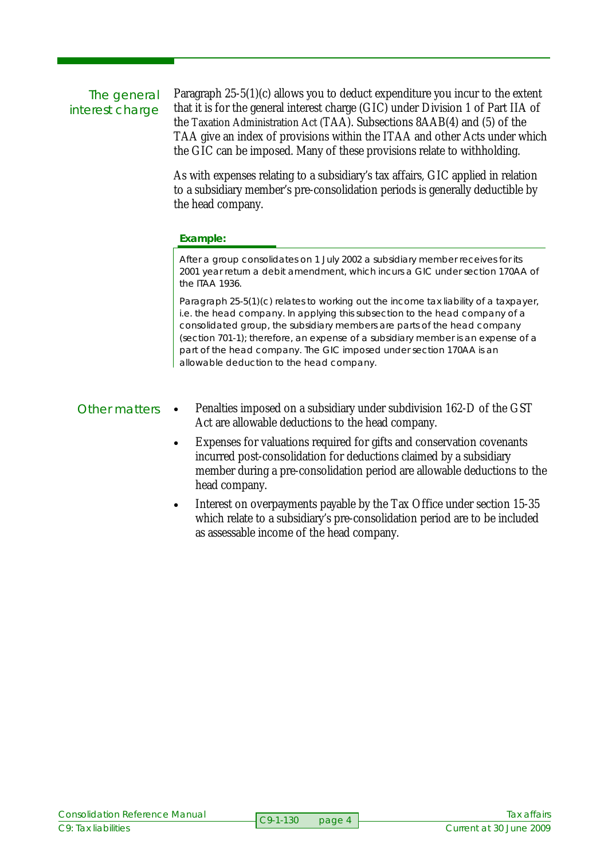# The general interest charge

Paragraph 25-5(1)(c) allows you to deduct expenditure you incur to the extent that it is for the general interest charge (GIC) under Division 1 of Part IIA of the Taxation Administration Act (TAA). Subsections 8AAB(4) and (5) of the TAA give an index of provisions within the ITAA and other Acts under which the GIC can be imposed. Many of these provisions relate to withholding.

As with expenses relating to a subsidiary's tax affairs, GIC applied in relation to a subsidiary member's pre-consolidation periods is generally deductible by the head company.

# **Example:**

After a group consolidates on 1 July 2002 a subsidiary member receives for its 2001 year return a debit amendment, which incurs a GIC under section 170AA of the ITAA 1936.

Paragraph 25-5(1)(c) relates to working out the income tax liability of a taxpayer, i.e. the head company. In applying this subsection to the head company of a consolidated group, the subsidiary members are parts of the head company (section 701-1); therefore, an expense of a subsidiary member is an expense of a part of the head company. The GIC imposed under section 170AA is an allowable deduction to the head company.

- Penalties imposed on a subsidiary under subdivision 162-D of the GST Act are allowable deductions to the head company. Other matters
	- Expenses for valuations required for gifts and conservation covenants incurred post-consolidation for deductions claimed by a subsidiary member during a pre-consolidation period are allowable deductions to the head company.
	- Interest on overpayments payable by the Tax Office under section 15-35 which relate to a subsidiary's pre-consolidation period are to be included as assessable income of the head company.